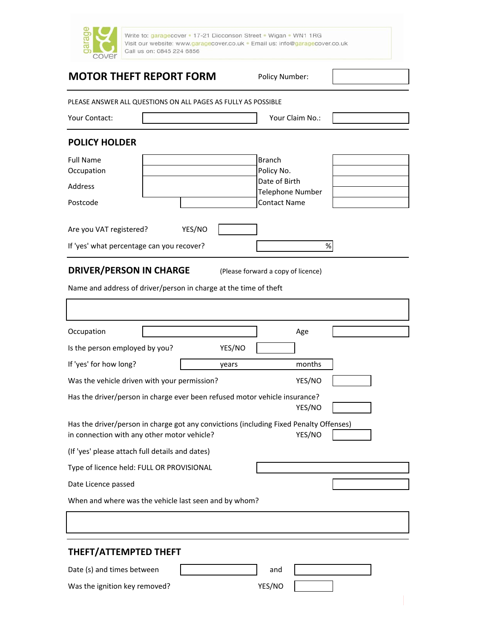

Write to: garagecover . 17-21 Dicconson Street . Wigan . WN1 1RG Visit our website: www.garagecover.co.uk · Email us: info@garagecover.co.uk Call us on: 0845 224 6856

# **MOTOR THEFT REPORT FORM** Policy Number:

PLEASE ANSWER ALL QUESTIONS ON ALL PAGES AS FULLY AS POSSIBLE

| Your Contact: | Your Claim No.: |  |
|---------------|-----------------|--|
|               |                 |  |

### **POLICY HOLDER**

| <b>Full Name</b><br>Occupation            |  |        | <b>Branch</b><br>Policy No.<br>Date of Birth |  |
|-------------------------------------------|--|--------|----------------------------------------------|--|
| Address                                   |  |        | <b>Telephone Number</b>                      |  |
| Postcode                                  |  |        | <b>Contact Name</b>                          |  |
|                                           |  |        |                                              |  |
| Are you VAT registered?                   |  | YES/NO |                                              |  |
| If 'yes' what percentage can you recover? |  | %      |                                              |  |

#### **DRIVER/PERSON IN CHARGE** (Please forward a copy of licence)

Name and address of driver/person in charge at the time of theft

| Occupation                                                                                                                                      |        | Age    |  |  |  |
|-------------------------------------------------------------------------------------------------------------------------------------------------|--------|--------|--|--|--|
| Is the person employed by you?                                                                                                                  | YES/NO |        |  |  |  |
| If 'yes' for how long?                                                                                                                          | years  | months |  |  |  |
| Was the vehicle driven with your permission?                                                                                                    |        | YES/NO |  |  |  |
| Has the driver/person in charge ever been refused motor vehicle insurance?                                                                      |        | YES/NO |  |  |  |
| Has the driver/person in charge got any convictions (including Fixed Penalty Offenses)<br>YES/NO<br>in connection with any other motor vehicle? |        |        |  |  |  |
| (If 'yes' please attach full details and dates)                                                                                                 |        |        |  |  |  |
| Type of licence held: FULL OR PROVISIONAL                                                                                                       |        |        |  |  |  |
| Date Licence passed                                                                                                                             |        |        |  |  |  |
| When and where was the vehicle last seen and by whom?                                                                                           |        |        |  |  |  |
|                                                                                                                                                 |        |        |  |  |  |
| THEFT/ATTEMPTED THEFT                                                                                                                           |        |        |  |  |  |
| Date (s) and times between                                                                                                                      |        | and    |  |  |  |
| Was the ignition key removed?                                                                                                                   | YES/NO |        |  |  |  |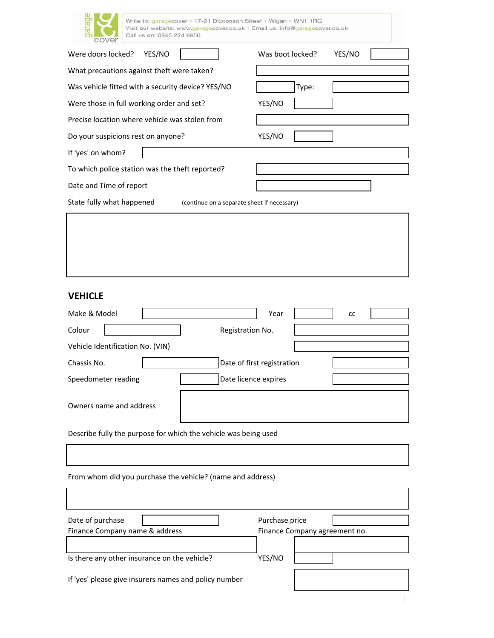| rage<br>æ<br>cover                                              | Write to: garagecover = 17-21 Dicconson Street = Wigan = WN1 1RG<br>Visit our website: www.garagecover.co.uk · Email us: info@garagecover.co.uk<br>Call us on: 0845 224 6856 |                                             |                            |                  |       |                               |  |
|-----------------------------------------------------------------|------------------------------------------------------------------------------------------------------------------------------------------------------------------------------|---------------------------------------------|----------------------------|------------------|-------|-------------------------------|--|
| Were doors locked?                                              | YES/NO                                                                                                                                                                       |                                             |                            | Was boot locked? |       | YES/NO                        |  |
| What precautions against theft were taken?                      |                                                                                                                                                                              |                                             |                            |                  |       |                               |  |
| Was vehicle fitted with a security device? YES/NO               |                                                                                                                                                                              |                                             |                            |                  | Type: |                               |  |
| Were those in full working order and set?                       |                                                                                                                                                                              |                                             |                            | YES/NO           |       |                               |  |
| Precise location where vehicle was stolen from                  |                                                                                                                                                                              |                                             |                            |                  |       |                               |  |
| Do your suspicions rest on anyone?                              |                                                                                                                                                                              |                                             |                            | YES/NO           |       |                               |  |
| If 'yes' on whom?                                               |                                                                                                                                                                              |                                             |                            |                  |       |                               |  |
| To which police station was the theft reported?                 |                                                                                                                                                                              |                                             |                            |                  |       |                               |  |
| Date and Time of report                                         |                                                                                                                                                                              |                                             |                            |                  |       |                               |  |
| State fully what happened                                       |                                                                                                                                                                              | (continue on a separate sheet if necessary) |                            |                  |       |                               |  |
|                                                                 |                                                                                                                                                                              |                                             |                            |                  |       |                               |  |
| <b>VEHICLE</b>                                                  |                                                                                                                                                                              |                                             |                            |                  |       |                               |  |
| Make & Model                                                    |                                                                                                                                                                              |                                             |                            | Year             |       | cc                            |  |
| Colour                                                          |                                                                                                                                                                              |                                             | Registration No.           |                  |       |                               |  |
| Vehicle Identification No. (VIN)                                |                                                                                                                                                                              |                                             |                            |                  |       |                               |  |
| Chassis No.                                                     |                                                                                                                                                                              |                                             | Date of first registration |                  |       |                               |  |
| Speedometer reading                                             |                                                                                                                                                                              |                                             | Date licence expires       |                  |       |                               |  |
| Owners name and address                                         |                                                                                                                                                                              |                                             |                            |                  |       |                               |  |
| Describe fully the purpose for which the vehicle was being used |                                                                                                                                                                              |                                             |                            |                  |       |                               |  |
|                                                                 |                                                                                                                                                                              |                                             |                            |                  |       |                               |  |
| From whom did you purchase the vehicle? (name and address)      |                                                                                                                                                                              |                                             |                            |                  |       |                               |  |
|                                                                 |                                                                                                                                                                              |                                             |                            |                  |       |                               |  |
| Date of purchase                                                |                                                                                                                                                                              |                                             |                            | Purchase price   |       |                               |  |
| Finance Company name & address                                  |                                                                                                                                                                              |                                             |                            |                  |       | Finance Company agreement no. |  |
| Is there any other insurance on the vehicle?                    |                                                                                                                                                                              |                                             |                            | YES/NO           |       |                               |  |
| If 'yes' please give insurers names and policy number           |                                                                                                                                                                              |                                             |                            |                  |       |                               |  |
|                                                                 |                                                                                                                                                                              |                                             |                            |                  |       |                               |  |